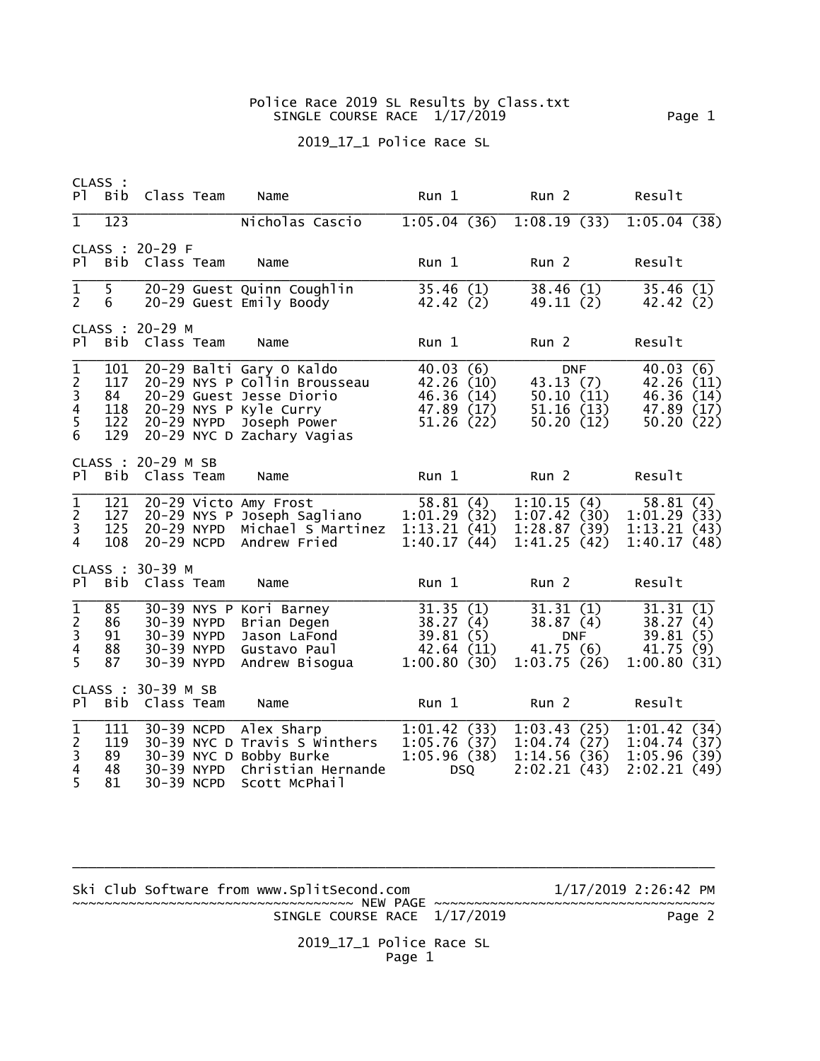## Police Race 2019 SL Results by Class.txt SINGLE COURSE RACE 1/17/2019 Page 1

## 2019\_17\_1 Police Race SL

| PT -                                                                               | CLASS :<br>Bib                        | Class Team                             |                          | Name                                                                                                                                                         | Run 1                                                          |            | Run <sub>2</sub>                                              |            | Result                                                          |  |
|------------------------------------------------------------------------------------|---------------------------------------|----------------------------------------|--------------------------|--------------------------------------------------------------------------------------------------------------------------------------------------------------|----------------------------------------------------------------|------------|---------------------------------------------------------------|------------|-----------------------------------------------------------------|--|
| $\mathbf{1}$                                                                       | 123                                   |                                        |                          | Nicholas Cascio                                                                                                                                              |                                                                |            |                                                               |            | $1:05.04(36)$ $1:08.19(33)$ $1:05.04(38)$                       |  |
| PT -                                                                               | Bib                                   | CLASS : 20-29 F<br>Class Team          |                          | Name                                                                                                                                                         | Run 1                                                          |            | Run <sub>2</sub>                                              |            | Result                                                          |  |
| $\mathbf 1$<br>$\overline{2}$                                                      | 5 <sup>1</sup><br>6                   |                                        |                          | 20-29 Guest Quinn Coughlin<br>20-29 Guest Emily Boody                                                                                                        | 35.46(1)<br>42.42 (2)                                          |            | 38.46(1)<br>49.11(2)                                          |            | 35.46(1)<br>42.42 (2)                                           |  |
| P <sub>1</sub>                                                                     | CLASS :<br>Bib                        | $20 - 29$ M<br>Class Team              |                          | Name                                                                                                                                                         | Run 1                                                          |            | Run <sub>2</sub>                                              |            | Result                                                          |  |
| $\mathbf 1$<br>$\begin{array}{c} 2 \\ 3 \\ 4 \\ 5 \end{array}$<br>$\boldsymbol{6}$ | 101<br>117<br>84<br>118<br>122<br>129 | 20-29 NYPD                             |                          | 20-29 Balti Gary O Kaldo<br>20-29 NYS P Collin Brousseau<br>20-29 Guest Jesse Diorio<br>20-29 NYS P Kyle Curry<br>Joseph Power<br>20-29 NYC D Zachary Vagias | 40.03(6)<br>42.26 (10)<br>46.36(14)<br>47.89 (17)<br>51.26(22) |            | 43.13(7)<br>50.10(11)<br>51.16(13)<br>50.20(12)               | <b>DNF</b> | 40.03(6)<br>42.26 (11)<br>46.36 (14)<br>47.89 (17)<br>50.20(22) |  |
| P <sub>1</sub>                                                                     |                                       | CLASS : 20-29 M SB<br>Bib Class Team   |                          | Name                                                                                                                                                         | Run <sub>1</sub>                                               |            | Run <sub>2</sub>                                              |            | Result                                                          |  |
| $\mathbf 1$<br>$\frac{2}{3}$<br>$\overline{4}$                                     | 121<br>127<br>125<br>108              |                                        | 20-29 NYPD<br>20-29 NCPD | 20-29 Victo Amy Frost<br>20-29 NYS P Joseph Sagliano<br>Michael S Martinez<br>Andrew Fried                                                                   | 58.81(4)<br>1:01.29(32)<br>1:13.21(41)<br>1:40.17(44)          |            | 1:10.15(4)<br>1:07.42(30)<br>1:28.87(39)<br>1:41.25(42)       |            | 58.81(4)<br>1:01.29(33)<br>1:13.21(43)<br>1:40.17(48)           |  |
| P <sub>1</sub>                                                                     | Bib                                   | CLASS : 30-39 M<br>Class Team          |                          | Name                                                                                                                                                         | Run 1                                                          |            | Run <sub>2</sub>                                              |            | Result                                                          |  |
| $\overline{1}$<br>$\frac{2}{3}$<br>$\overline{\mathbf{4}}$<br>5                    | 85<br>86<br>91<br>88<br>87            | 30-39 NYPD<br>30-39 NYPD<br>30-39 NYPD | 30-39 NYPD               | 30-39 NYS P Kori Barney<br>Brian Degen<br>Jason LaFond<br>Gustavo Paul<br>Andrew Bisogua                                                                     | 31.35(1)<br>38.27(4)<br>39.81(5)<br>42.64(11)<br>1:00.80(30)   |            | 31.31(1)<br>38.87(4)<br><b>DNF</b><br>41.75(6)<br>1:03.75(26) |            | 31.31(1)<br>38.27(4)<br>39.81(5)<br>41.75(9)<br>1:00.80(31)     |  |
| P <sub>1</sub>                                                                     | CLASS :<br>Bib                        | 30-39 M SB<br>Class Team               |                          | Name                                                                                                                                                         | Run 1                                                          |            | Run <sub>2</sub>                                              |            | Result                                                          |  |
| $\overline{1}$<br>$\begin{array}{c} 2 \\ 3 \\ 4 \end{array}$<br>$\overline{5}$     | 111<br>119<br>89<br>48<br>81          | 30-39 NCPD<br>30-39 NCPD               | 30-39 NYPD               | Alex Sharp<br>30-39 NYC D Travis S Winthers<br>30-39 NYC D Bobby Burke<br>Christian Hernande<br>Scott McPhail                                                | 1:01.42(33)<br>1:05.76(37)<br>1:05.96(38)                      | <b>DSQ</b> | 1:03.43(25)<br>1:04.74(27)<br>1:14.56(36)<br>2:02.21(43)      |            | 1:01.42(34)<br>1:04.74(37)<br>1:05.96(39)<br>2:02.21(49)        |  |

Ski Club Software from www.SplitSecond.com  $1/17/2019$  2:26:42 PM ~~~~~~~~~~~~~~~~~~~~~~~~~~~~~~~~~~~ NEW PAGE ~~~~~~~~~~~~~~~~~~~~~~~~~~~~~~~~~~~ SINGLE COURSE RACE 1/17/2019 Page 2

\_\_\_\_\_\_\_\_\_\_\_\_\_\_\_\_\_\_\_\_\_\_\_\_\_\_\_\_\_\_\_\_\_\_\_\_\_\_\_\_\_\_\_\_\_\_\_\_\_\_\_\_\_\_\_\_\_\_\_\_\_\_\_\_\_\_\_\_\_\_\_\_\_\_\_\_\_\_\_\_

 2019\_17\_1 Police Race SL Page 1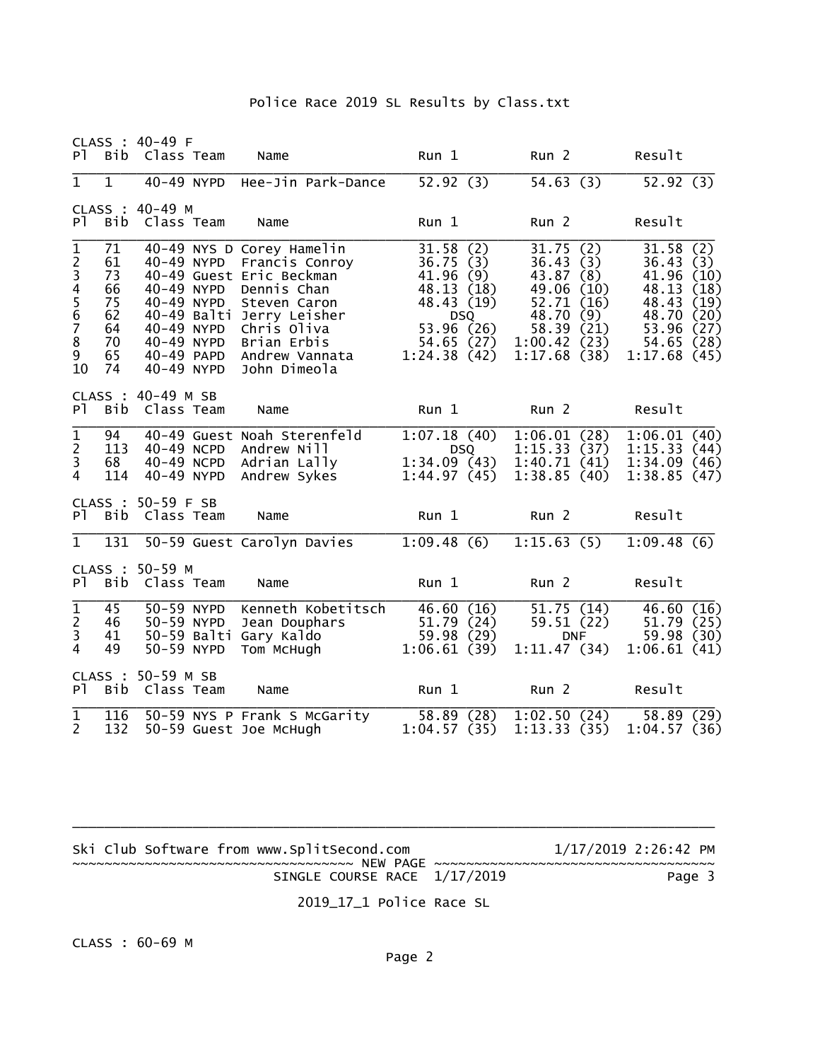## Police Race 2019 SL Results by Class.txt

CLASS : 40-49 F Pl Bib Class Team Name Run 1 Run 2 Result

| $\mathbf{1}$                           | $\mathbf{1}$                                             |                                                                    |            | 40-49 NYPD Hee-Jin Park-Dance                                                                                                                                                                                  | 52.92(3)                                                                                                                  | 54.63(3)                                                                                                                      | 52.92(3)                                                                                                                                       |
|----------------------------------------|----------------------------------------------------------|--------------------------------------------------------------------|------------|----------------------------------------------------------------------------------------------------------------------------------------------------------------------------------------------------------------|---------------------------------------------------------------------------------------------------------------------------|-------------------------------------------------------------------------------------------------------------------------------|------------------------------------------------------------------------------------------------------------------------------------------------|
|                                        |                                                          | CLASS : 40-49 M                                                    |            |                                                                                                                                                                                                                |                                                                                                                           |                                                                                                                               |                                                                                                                                                |
| P <sub>1</sub>                         | Bib                                                      | Class Team                                                         |            | Name                                                                                                                                                                                                           | Run 1                                                                                                                     | Run <sub>2</sub>                                                                                                              | Result                                                                                                                                         |
| $\mathbf{1}$<br>234567<br>8<br>9<br>10 | 71<br>61<br>73<br>66<br>75<br>62<br>64<br>70<br>65<br>74 | 40-49 NYPD<br>40-49 NYPD<br>40-49 NYPD<br>40-49 NYPD<br>40-49 NYPD | 40-49 NYPD | 40-49 NYS D Corey Hamelin<br>Francis Conroy<br>40-49 Guest Eric Beckman<br>Dennis Chan<br>Steven Caron<br>40-49 Balti Jerry Leisher<br>Chris Oliva<br>Brian Erbis<br>40-49 PAPD Andrew Vannata<br>John Dimeola | 31.58(2)<br>36.75(3)<br>41.96<br>(9)<br>48.13 (18)<br>48.43 (19)<br><b>DSQ</b><br>53.96 (26)<br>54.65 (27)<br>1:24.38(42) | 31.75(2)<br>36.43(3)<br>43.87 (8)<br>49.06 (10)<br>52.71 (16)<br>48.70 (9)<br>58.39<br>(21)<br>1:00.42(23)<br>1:17.68<br>(38) | 31.58<br>(2)<br>36.43(3)<br>41.96 (10)<br>48.13<br>(18)<br>48.43<br>(19)<br>48.70<br>(20)<br>53.96<br>(27)<br>(28)<br>54.65<br>1:17.68<br>(45) |
| PT.                                    | CLASS :<br>Bib                                           | 40-49 M SB<br>Class Team                                           |            | Name                                                                                                                                                                                                           | Run <sub>1</sub>                                                                                                          | Run <sub>2</sub>                                                                                                              | Result                                                                                                                                         |
| $\mathbf 1$<br>3<br>4                  | 94<br>113<br>68<br>114                                   | 40-49 NCPD<br>40-49 NYPD                                           | 40-49 NCPD | 40-49 Guest Noah Sterenfeld<br>Andrew Nill<br>Adrian Lally<br>Andrew Sykes                                                                                                                                     | 1:07.18(40)<br><b>DSQ</b><br>1:34.09(43)<br>1:44.97(45)                                                                   | 1:06.01(28)<br>1:15.33(37)<br>1:40.71(41)<br>1:38.85(40)                                                                      | 1:06.01<br>(40)<br>1:15.33<br>(44)<br>1:34.09<br>(46)<br>1:38.85(47)                                                                           |
| P <sub>1</sub>                         | Bib                                                      | CLASS : 50-59 F SB<br>Class Team                                   |            | Name                                                                                                                                                                                                           | Run 1                                                                                                                     | Run <sub>2</sub>                                                                                                              | Result                                                                                                                                         |
| $\mathbf{1}$                           | 131                                                      |                                                                    |            | 50-59 Guest Carolyn Davies                                                                                                                                                                                     | 1:09.48(6)                                                                                                                | 1:15.63(5)                                                                                                                    | 1:09.48(6)                                                                                                                                     |
| P <sub>1</sub>                         | CLASS :<br>Bib                                           | 50-59 M<br>Class Team                                              |            | Name                                                                                                                                                                                                           | Run <sub>1</sub>                                                                                                          | Run <sub>2</sub>                                                                                                              | Result                                                                                                                                         |
| $\overline{1}$<br>$\frac{2}{3}$<br>4   | 45<br>46<br>41<br>49                                     | 50-59 NYPD<br>50-59 NYPD<br>50-59 NYPD                             |            | Kenneth Kobetitsch<br>Jean Douphars<br>50-59 Balti Gary Kaldo<br>Tom McHugh                                                                                                                                    | 46.60(16)<br>51.79<br>(24)<br>59.98(29)<br>1:06.61(39)                                                                    | 51.75(14)<br>59.51 (22)<br><b>DNF</b><br>1:11.47(34)                                                                          | 46.60 (16)<br>51.79 (25)<br>59.98 (30)<br>1:06.61(41)                                                                                          |
| P <sub>1</sub>                         | CLASS :<br>Bib                                           | 50-59 M SB<br>Class Team                                           |            | Name                                                                                                                                                                                                           | Run <sub>1</sub>                                                                                                          | Run <sub>2</sub>                                                                                                              | Result                                                                                                                                         |
| $\mathbf{1}$<br>$\overline{2}$         | 116<br>132                                               |                                                                    |            | 50-59 NYS P Frank S McGarity<br>50-59 Guest Joe McHugh                                                                                                                                                         | 58.89<br>(28)<br>1:04.57(35)                                                                                              | 1:02.50(24)<br>1:13.33(35)                                                                                                    | 58.89<br>(29)<br>1:04.57(36)                                                                                                                   |

| Ski Club Software from www.SplitSecond.com<br>~~~~~~~~~~~~~~~~~~~~~~~~~~~~~~~~~~~~ NEW PAGE ~~~~~~~~~~~~~~~~~~~~~~~~~~~~~~~~~~<br>SINGLE COURSE RACE 1/17/2019 | 1/17/2019 2:26:42 PM | Page 3 |
|----------------------------------------------------------------------------------------------------------------------------------------------------------------|----------------------|--------|
| 2019_17_1 Police Race SL                                                                                                                                       |                      |        |

\_\_\_\_\_\_\_\_\_\_\_\_\_\_\_\_\_\_\_\_\_\_\_\_\_\_\_\_\_\_\_\_\_\_\_\_\_\_\_\_\_\_\_\_\_\_\_\_\_\_\_\_\_\_\_\_\_\_\_\_\_\_\_\_\_\_\_\_\_\_\_\_\_\_\_\_\_\_\_\_

CLASS : 60-69 M